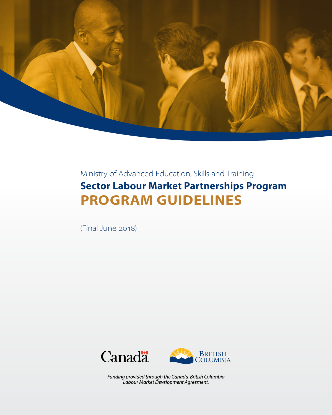

# Ministry of Advanced Education, Skills and Training **Sector Labour Market Partnerships Program PROGRAM GUIDELINES**

(Final June 2018)





Funding provided through the Canada-British Columbia Labour Market Development Agreement.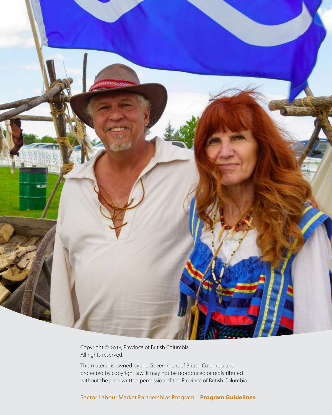

Copyright © 2018, Province of British Columbia. All rights reserved.

This material is owned by the Government of British Columbia and protected by copyright law. It may not be reproduced or redistributed without the prior written permission of the Province of British Columbia.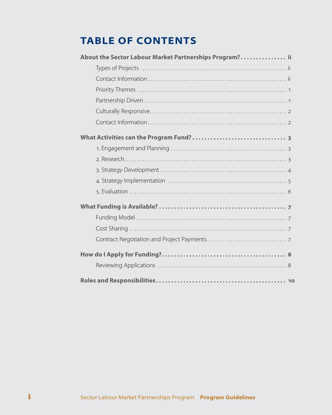# **TABLE OF CONTENTS**

| About the Sector Labour Market Partnerships Program? ii |
|---------------------------------------------------------|
|                                                         |
|                                                         |
|                                                         |
|                                                         |
|                                                         |
|                                                         |
|                                                         |
|                                                         |
|                                                         |
|                                                         |
|                                                         |
|                                                         |
|                                                         |
|                                                         |
|                                                         |
|                                                         |
|                                                         |
|                                                         |
|                                                         |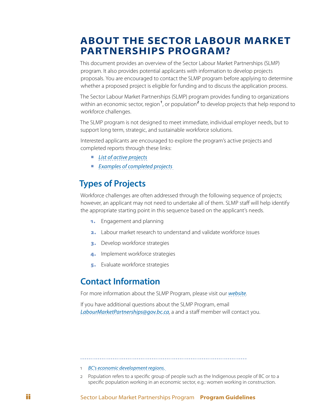## <span id="page-3-0"></span>**ABOUT THE SECTOR LABOUR MARKET PARTNERSHIPS PROGRAM?**

This document provides an overview of the Sector Labour Market Partnerships (SLMP) program. It also provides potential applicants with information to develop projects proposals. You are encouraged to contact the SLMP program before applying to determine whether a proposed project is eligible for funding and to discuss the application process.

The Sector Labour Market Partnerships (SLMP) program provides funding to organizations within an economic sector, region<sup>1</sup>, or population<sup>2</sup> to develop projects that help respond to workforce challenges.

The SLMP program is not designed to meet immediate, individual employer needs, but to support long term, strategic, and sustainable workforce solutions.

Interested applicants are encouraged to explore the program's active projects and completed reports through these links:

- *[List of active projects](https://www.workbc.ca/getmedia/6dceaf3c-f242-414b-9c9c-2aa4b07520a4/Sector-LMP-Active-Projects.pdf.aspx)*
- *[Examples of completed projects](https://www.workbc.ca/Labour-Market-Industry/Sector-Labour-Market-Partnerships-Program/Sector-Labour-Market-Partnerships-Reports.aspx)*

## **Types of Projects**

Workforce challenges are often addressed through the following sequence of projects; however, an applicant may not need to undertake all of them. SLMP staff will help identify the appropriate starting point in this sequence based on the applicant's needs.

- 1. Engagement and planning
- 2. Labour market research to understand and validate workforce issues
- **3.** Develop workforce strategies
- 4. Implement workforce strategies
- **5.** Evaluate workforce strategies

### **Contact Information**

For more information about the SLMP Program, please visit our *[website](https://www.workbc.ca/Labour-Market-Industry/Sector-Labour-Market-Partnerships-Program.aspx)*.

If you have additional questions about the SLMP Program, email *[LabourMarketPartnerships@gov.bc.ca](mailto:LabourMarketPartnerships@gov.bc.ca)*, a and a staff member will contact you.

- 1 *[BC's economic development regions.](https://www2.gov.bc.ca/gov/content/employment-business/economic-development/plan-and-measure/bc-economic-atlas)*
- 2 Population refers to a specific group of people such as the Indigenous people of BC or to a specific population working in an economic sector, e.g.: women working in construction.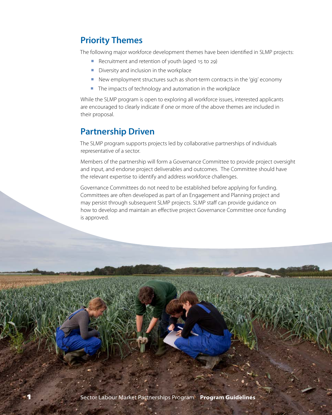## <span id="page-4-0"></span>**Priority Themes**

The following major workforce development themes have been identified in SLMP projects:

- Recruitment and retention of youth (aged 15 to 29)
- **•** Diversity and inclusion in the workplace
- New employment structures such as short-term contracts in the 'gig' economy
- The impacts of technology and automation in the workplace

While the SLMP program is open to exploring all workforce issues, interested applicants are encouraged to clearly indicate if one or more of the above themes are included in their proposal.

## **Partnership Driven**

The SLMP program supports projects led by collaborative partnerships of individuals representative of a sector.

Members of the partnership will form a Governance Committee to provide project oversight and input, and endorse project deliverables and outcomes. The Committee should have the relevant expertise to identify and address workforce challenges.

Governance Committees do not need to be established before applying for funding. Committees are often developed as part of an Engagement and Planning project and may persist through subsequent SLMP projects. SLMP staff can provide guidance on how to develop and maintain an effective project Governance Committee once funding is approved.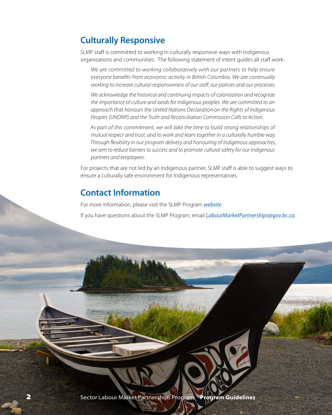## <span id="page-5-0"></span>**Culturally Responsive**

SLMP staff is committed to working in culturally responsive ways with Indigenous organizations and communities. The following statement of intent guides all staff work:

*We are committed to working collaboratively with our partners to help ensure everyone benefits from economic activity in British Columbia. We are continually working to increase cultural-responsiveness of our staff, our policies and our processes.*

*We acknowledge the historical and continuing impacts of colonization and recognize the importance of culture and lands for Indigenous peoples. We are committed to an approach that honours the United Nations Declaration on the Rights of Indigenous Peoples (UNDRIP) and the Truth and Reconciliation Commission Calls to Action.* 

*As part of this commitment, we will take the time to build strong relationships of mutual respect and trust, and to work and learn together in a culturally humble way. Through flexibility in our program delivery and honouring of Indigenous approaches, we aim to reduce barriers to success and to promote cultural safety for our Indigenous partners and employees.*

For projects that are not led by an Indigenous partner, SLMP staff is able to suggest ways to ensure a culturally safe environment for Indigenous representatives.

## **Contact Information**

For more information, please visit the SLMP Program *[website](https://www.workbc.ca/Labour-Market-Industry/Sector-Labour-Market-Partnerships-Program.aspx)*.

If you have questions about the SLMP Program, email *[LabourMarketPartnerships@gov.bc.ca](mailto:LabourMarketPartnerships@gov.bc.ca)*.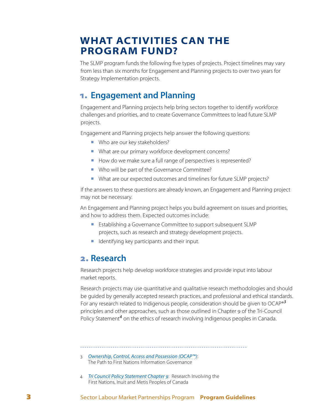## <span id="page-6-0"></span>**WHAT ACTIVITIES CAN THE PROGRAM FUND?**

The SLMP program funds the following five types of projects. Project timelines may vary from less than six months for Engagement and Planning projects to over two years for Strategy Implementation projects.

### 1. **Engagement and Planning**

Engagement and Planning projects help bring sectors together to identify workforce challenges and priorities, and to create Governance Committees to lead future SLMP projects.

Engagement and Planning projects help answer the following questions:

- **Who are our key stakeholders?**
- ¡ What are our primary workforce development concerns?
- How do we make sure a full range of perspectives is represented?
- Who will be part of the Governance Committee?
- ¡ What are our expected outcomes and timelines for future SLMP projects?

If the answers to these questions are already known, an Engagement and Planning project may not be necessary.

An Engagement and Planning project helps you build agreement on issues and priorities, and how to address them. Expected outcomes include:

- Establishing a Governance Committee to support subsequent SLMP projects, such as research and strategy development projects.
- Identifying key participants and their input.

### 2. **Research**

Research projects help develop workforce strategies and provide input into labour market reports.

Research projects may use quantitative and qualitative research methodologies and should be guided by generally accepted research practices, and professional and ethical standards. For any research related to Indigenous people, consideration should be given to OCAP®*<sup>3</sup>* principles and other approaches, such as those outlined in Chapter 9 of the Tri-Council .<br>Policy Statement<sup>4</sup> on the ethics of research involving Indigenous peoples in Canada.

- 3 *[Ownership, Control, Access and Possession \(OCAP™\)](http://fnigc.ca/sites/default/files/docs/ocap_path_to_fn_information_governance_en_final.pdf)*: The Path to First Nations Information Governance
- 4 *[Tri Council Policy Statement Chapter 9](http://www.pre.ethics.gc.ca/eng/policy-politique/initiatives/tcps2-eptc2/chapter9-chapitre9/)*: Research Involving the First Nations, Inuit and Metis Peoples of Canada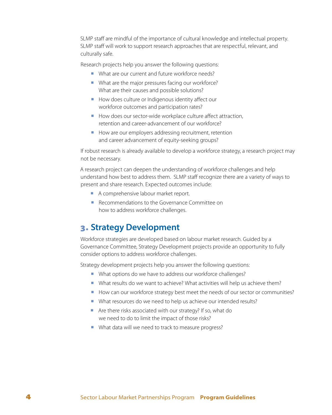<span id="page-7-0"></span>SLMP staff are mindful of the importance of cultural knowledge and intellectual property. SLMP staff will work to support research approaches that are respectful, relevant, and culturally safe.

Research projects help you answer the following questions:

- What are our current and future workforce needs?
- What are the major pressures facing our workforce? What are their causes and possible solutions?
- How does culture or Indigenous identity affect our workforce outcomes and participation rates?
- How does our sector-wide workplace culture affect attraction, retention and career-advancement of our workforce?
- How are our employers addressing recruitment, retention and career advancement of equity-seeking groups?

If robust research is already available to develop a workforce strategy, a research project may not be necessary.

A research project can deepen the understanding of workforce challenges and help understand how best to address them. SLMP staff recognize there are a variety of ways to present and share research. Expected outcomes include:

- A comprehensive labour market report.
- Recommendations to the Governance Committee on how to address workforce challenges.

### 3. **Strategy Development**

Workforce strategies are developed based on labour market research. Guided by a Governance Committee, Strategy Development projects provide an opportunity to fully consider options to address workforce challenges.

Strategy development projects help you answer the following questions:

- What options do we have to address our workforce challenges?
- What results do we want to achieve? What activities will help us achieve them?
- How can our workforce strategy best meet the needs of our sector or communities?
- What resources do we need to help us achieve our intended results?
- Are there risks associated with our strategy? If so, what do we need to do to limit the impact of those risks?
- What data will we need to track to measure progress?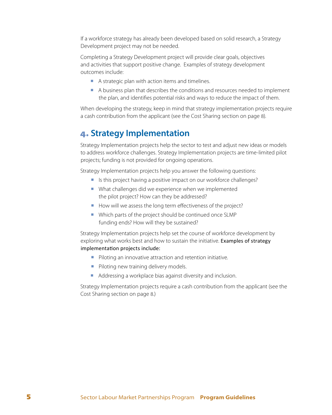<span id="page-8-0"></span>If a workforce strategy has already been developed based on solid research, a Strategy Development project may not be needed.

Completing a Strategy Development project will provide clear goals, objectives and activities that support positive change. Examples of strategy development outcomes include:

- A strategic plan with action items and timelines.
- A business plan that describes the conditions and resources needed to implement the plan, and identifies potential risks and ways to reduce the impact of them.

When developing the strategy, keep in mind that strategy implementation projects require a cash contribution from the applicant (see the Cost Sharing section on page 8).

### 4. **Strategy Implementation**

Strategy Implementation projects help the sector to test and adjust new ideas or models to address workforce challenges. Strategy Implementation projects are time-limited pilot projects; funding is not provided for ongoing operations.

Strategy Implementation projects help you answer the following questions:

- Is this project having a positive impact on our workforce challenges?
- What challenges did we experience when we implemented the pilot project? How can they be addressed?
- How will we assess the long term effectiveness of the project?
- ¡ Which parts of the project should be continued once SLMP funding ends? How will they be sustained?

Strategy Implementation projects help set the course of workforce development by exploring what works best and how to sustain the initiative. Examples of strategy implementation projects include:

- Piloting an innovative attraction and retention initiative.
- **Piloting new training delivery models.**
- Addressing a workplace bias against diversity and inclusion.

Strategy Implementation projects require a cash contribution from the applicant (see the Cost Sharing section on page 8.)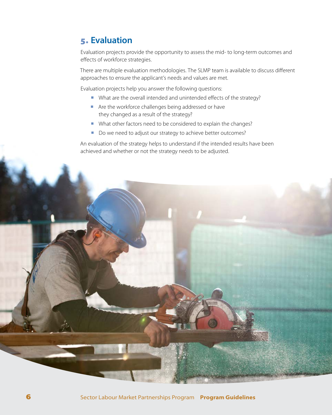### <span id="page-9-0"></span>5. **Evaluation**

Evaluation projects provide the opportunity to assess the mid- to long-term outcomes and effects of workforce strategies.

There are multiple evaluation methodologies. The SLMP team is available to discuss different approaches to ensure the applicant's needs and values are met.

Evaluation projects help you answer the following questions:

- What are the overall intended and unintended effects of the strategy?
- Are the workforce challenges being addressed or have they changed as a result of the strategy?
- ¡ What other factors need to be considered to explain the changes?
- Do we need to adjust our strategy to achieve better outcomes?

An evaluation of the strategy helps to understand if the intended results have been achieved and whether or not the strategy needs to be adjusted.

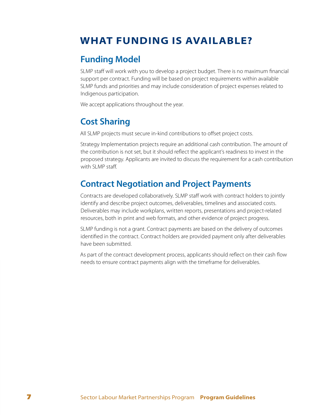# <span id="page-10-0"></span>**WHAT FUNDING IS AVAILABLE?**

### **Funding Model**

SLMP staff will work with you to develop a project budget. There is no maximum financial support per contract. Funding will be based on project requirements within available SLMP funds and priorities and may include consideration of project expenses related to Indigenous participation.

We accept applications throughout the year.

## **Cost Sharing**

All SLMP projects must secure in-kind contributions to offset project costs.

Strategy Implementation projects require an additional cash contribution. The amount of the contribution is not set, but it should reflect the applicant's readiness to invest in the proposed strategy. Applicants are invited to discuss the requirement for a cash contribution with SLMP staff.

## **Contract Negotiation and Project Payments**

Contracts are developed collaboratively. SLMP staff work with contract holders to jointly identify and describe project outcomes, deliverables, timelines and associated costs. Deliverables may include workplans, written reports, presentations and project-related resources, both in print and web formats, and other evidence of project progress.

SLMP funding is not a grant. Contract payments are based on the delivery of outcomes identified in the contract. Contract holders are provided payment only after deliverables have been submitted.

As part of the contract development process, applicants should reflect on their cash flow needs to ensure contract payments align with the timeframe for deliverables.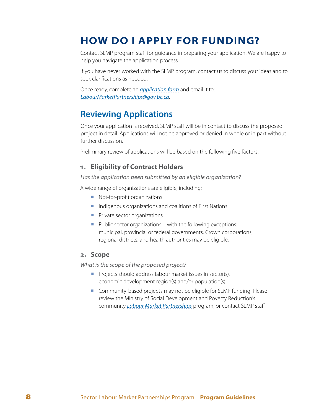# <span id="page-11-0"></span>**HOW DO I APPLY FOR FUNDING?**

Contact SLMP program staff for guidance in preparing your application. We are happy to help you navigate the application process.

If you have never worked with the SLMP program, contact us to discuss your ideas and to seek clarifications as needed.

Once ready, complete an *[application form](https://www.workbc.ca/getmedia/9546a3b1-bff8-4dae-b69a-319cd76f4321/Sector-Labour-Market-Partnerships-Application-Form.docx.aspx)* and email it to: *[LabourMarketPartnerships@gov.bc.ca](mailto:LabourMarketPartnerships@gov.bc.ca)*.

### **Reviewing Applications**

Once your application is received, SLMP staff will be in contact to discuss the proposed project in detail. Applications will not be approved or denied in whole or in part without further discussion.

Preliminary review of applications will be based on the following five factors.

#### 1. **Eligibility of Contract Holders**

*Has the application been submitted by an eligible organization?*

A wide range of organizations are eligible, including:

- **Not-for-profit organizations**
- ¡ Indigenous organizations and coalitions of First Nations
- **•** Private sector organizations
- $\blacksquare$  Public sector organizations with the following exceptions: municipal, provincial or federal governments. Crown corporations, regional districts, and health authorities may be eligible.

#### 2. **Scope**

*What is the scope of the proposed project?*

- **•** Projects should address labour market issues in sector(s), economic development region(s) and/or population(s)
- Community-based projects may not be eligible for SLMP funding. Please review the Ministry of Social Development and Poverty Reduction's community *[Labour Market Partnerships](https://www.workbc.ca/Employment-Services/Community-and-Employer-Partnerships/Labour-Market-Partnerships.aspx)* program, or contact SLMP staff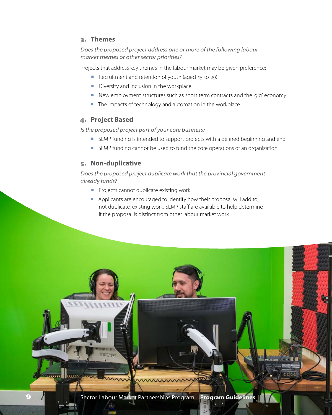#### 3. **Themes**

*Does the proposed project address one or more of the following labour market themes or other sector priorities?*

Projects that address key themes in the labour market may be given preference:

- Recruitment and retention of youth (aged 15 to 29)
- **•** Diversity and inclusion in the workplace
- New employment structures such as short term contracts and the 'gig' economy
- The impacts of technology and automation in the workplace

#### 4. **Project Based**

*Is the proposed project part of your core business?*

- **EXTENDED FUNDER IS INTERFEDED IS Intended to support projects with a defined beginning and end**
- SLMP funding cannot be used to fund the core operations of an organization

### 5. **Non-duplicative**

*Does the proposed project duplicate work that the provincial government already funds?*

- **•** Projects cannot duplicate existing work
- **•** Applicants are encouraged to identify how their proposal will add to, not duplicate, existing work. SLMP staff are available to help determine if the proposal is distinct from other labour market work

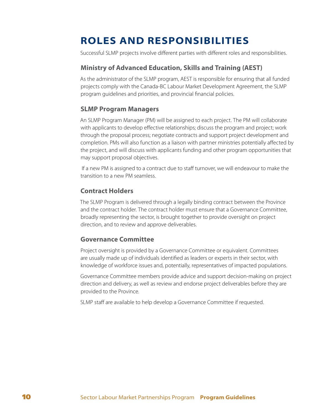# <span id="page-13-0"></span>**ROLES AND RESPONSIBILITIES**

Successful SLMP projects involve different parties with different roles and responsibilities.

#### **Ministry of Advanced Education, Skills and Training (AEST)**

As the administrator of the SLMP program, AEST is responsible for ensuring that all funded projects comply with the Canada-BC Labour Market Development Agreement, the SLMP program guidelines and priorities, and provincial financial policies.

#### **SLMP Program Managers**

An SLMP Program Manager (PM) will be assigned to each project. The PM will collaborate with applicants to develop effective relationships; discuss the program and project; work through the proposal process; negotiate contracts and support project development and completion. PMs will also function as a liaison with partner ministries potentially affected by the project, and will discuss with applicants funding and other program opportunities that may support proposal objectives.

 If a new PM is assigned to a contract due to staff turnover, we will endeavour to make the transition to a new PM seamless.

#### **Contract Holders**

The SLMP Program is delivered through a legally binding contract between the Province and the contract holder. The contract holder must ensure that a Governance Committee, broadly representing the sector, is brought together to provide oversight on project direction, and to review and approve deliverables.

#### **Governance Committee**

Project oversight is provided by a Governance Committee or equivalent. Committees are usually made up of individuals identified as leaders or experts in their sector, with knowledge of workforce issues and, potentially, representatives of impacted populations.

Governance Committee members provide advice and support decision-making on project direction and delivery, as well as review and endorse project deliverables before they are provided to the Province.

SLMP staff are available to help develop a Governance Committee if requested.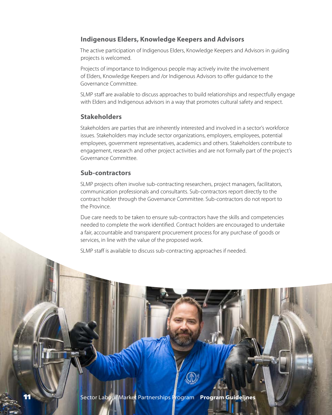#### **Indigenous Elders, Knowledge Keepers and Advisors**

The active participation of Indigenous Elders, Knowledge Keepers and Advisors in guiding projects is welcomed.

Projects of importance to Indigenous people may actively invite the involvement of Elders, Knowledge Keepers and /or Indigenous Advisors to offer guidance to the Governance Committee.

SLMP staff are available to discuss approaches to build relationships and respectfully engage with Elders and Indigenous advisors in a way that promotes cultural safety and respect.

### **Stakeholders**

Stakeholders are parties that are inherently interested and involved in a sector's workforce issues. Stakeholders may include sector organizations, employers, employees, potential employees, government representatives, academics and others. Stakeholders contribute to engagement, research and other project activities and are not formally part of the project's Governance Committee.

#### **Sub-contractors**

SLMP projects often involve sub-contracting researchers, project managers, facilitators, communication professionals and consultants. Sub-contractors report directly to the contract holder through the Governance Committee. Sub-contractors do not report to the Province.

Due care needs to be taken to ensure sub-contractors have the skills and competencies needed to complete the work identified. Contract holders are encouraged to undertake a fair, accountable and transparent procurement process for any purchase of goods or services, in line with the value of the proposed work.

SLMP staff is available to discuss sub-contracting approaches if needed.